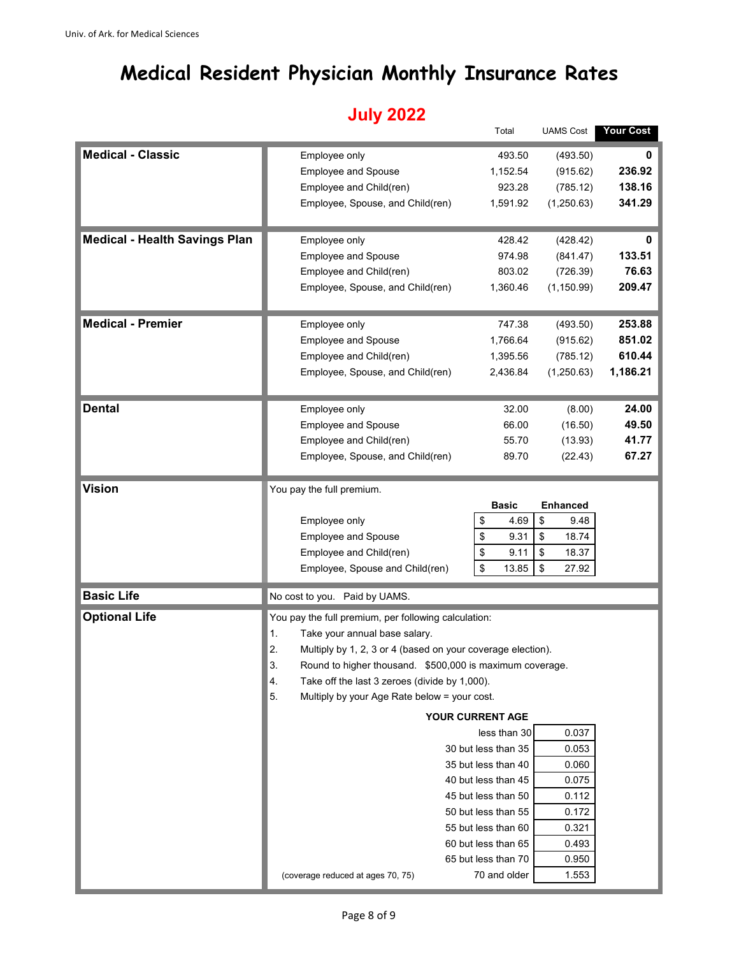## **Medical Resident Physician Monthly Insurance Rates**

## **July 2022**

|                                      |                                                                   | Total                               | <b>UAMS Cost</b> | Your Cost                                                |  |  |  |  |
|--------------------------------------|-------------------------------------------------------------------|-------------------------------------|------------------|----------------------------------------------------------|--|--|--|--|
| <b>Medical - Classic</b>             | Employee only                                                     | 493.50                              | (493.50)         |                                                          |  |  |  |  |
|                                      | <b>Employee and Spouse</b>                                        | 1,152.54                            | (915.62)         | 236.92                                                   |  |  |  |  |
|                                      | Employee and Child(ren)                                           | 923.28                              | (785.12)         | 138.16                                                   |  |  |  |  |
|                                      | Employee, Spouse, and Child(ren)                                  | 1,591.92                            | (1,250.63)       | 341.29                                                   |  |  |  |  |
|                                      |                                                                   |                                     |                  |                                                          |  |  |  |  |
| <b>Medical - Health Savings Plan</b> | Employee only                                                     | 428.42                              | (428.42)         | 0                                                        |  |  |  |  |
|                                      | <b>Employee and Spouse</b>                                        | 974.98                              | (841.47)         | 133.51                                                   |  |  |  |  |
|                                      | Employee and Child(ren)                                           | 803.02                              | (726.39)         | 76.63                                                    |  |  |  |  |
|                                      | Employee, Spouse, and Child(ren)                                  | 1,360.46                            | (1, 150.99)      | 209.47                                                   |  |  |  |  |
|                                      |                                                                   |                                     |                  |                                                          |  |  |  |  |
| <b>Medical - Premier</b>             | Employee only                                                     | 747.38                              | (493.50)         | 253.88                                                   |  |  |  |  |
|                                      | <b>Employee and Spouse</b>                                        | 1,766.64                            | (915.62)         | 851.02                                                   |  |  |  |  |
|                                      | Employee and Child(ren)                                           | 1,395.56                            | (785.12)         | 610.44                                                   |  |  |  |  |
|                                      | Employee, Spouse, and Child(ren)                                  | 2,436.84                            | (1,250.63)       | 1,186.21                                                 |  |  |  |  |
|                                      |                                                                   |                                     |                  |                                                          |  |  |  |  |
| <b>Dental</b>                        | Employee only                                                     | 32.00                               | (8.00)           | 24.00                                                    |  |  |  |  |
|                                      | <b>Employee and Spouse</b>                                        | 66.00                               | (16.50)          | 49.50                                                    |  |  |  |  |
|                                      | Employee and Child(ren)                                           | 55.70                               | (13.93)          | 41.77                                                    |  |  |  |  |
|                                      | Employee, Spouse, and Child(ren)                                  | 89.70                               | (22.43)          | 67.27                                                    |  |  |  |  |
| <b>Vision</b>                        | You pay the full premium.                                         |                                     |                  |                                                          |  |  |  |  |
|                                      |                                                                   | <b>Basic</b>                        | <b>Enhanced</b>  |                                                          |  |  |  |  |
|                                      | Employee only                                                     | \$<br>4.69                          | \$<br>9.48       |                                                          |  |  |  |  |
|                                      | Employee and Spouse                                               | \$<br>9.31                          | \$<br>18.74      |                                                          |  |  |  |  |
|                                      | Employee and Child(ren)                                           | \$<br>9.11                          | \$<br>18.37      |                                                          |  |  |  |  |
|                                      | Employee, Spouse and Child(ren)                                   | \$<br>13.85                         | \$<br>27.92      |                                                          |  |  |  |  |
|                                      |                                                                   |                                     |                  |                                                          |  |  |  |  |
| <b>Basic Life</b>                    | No cost to you. Paid by UAMS.                                     |                                     |                  |                                                          |  |  |  |  |
| <b>Optional Life</b>                 | You pay the full premium, per following calculation:              |                                     |                  |                                                          |  |  |  |  |
|                                      | 1.<br>Take your annual base salary.                               |                                     |                  |                                                          |  |  |  |  |
|                                      | 2.<br>Multiply by 1, 2, 3 or 4 (based on your coverage election). |                                     |                  |                                                          |  |  |  |  |
|                                      |                                                                   |                                     |                  | Round to higher thousand. \$500,000 is maximum coverage. |  |  |  |  |
|                                      | 3.                                                                |                                     |                  |                                                          |  |  |  |  |
|                                      | 4.<br>Take off the last 3 zeroes (divide by 1,000).               |                                     |                  |                                                          |  |  |  |  |
|                                      | 5.<br>Multiply by your Age Rate below = your cost.                |                                     |                  |                                                          |  |  |  |  |
|                                      |                                                                   | YOUR CURRENT AGE                    |                  |                                                          |  |  |  |  |
|                                      |                                                                   | less than 30                        | 0.037            |                                                          |  |  |  |  |
|                                      |                                                                   | 30 but less than 35                 | 0.053            |                                                          |  |  |  |  |
|                                      |                                                                   | 35 but less than 40                 | 0.060            |                                                          |  |  |  |  |
|                                      |                                                                   | 40 but less than 45                 | 0.075            |                                                          |  |  |  |  |
|                                      |                                                                   | 45 but less than 50                 | 0.112            |                                                          |  |  |  |  |
|                                      |                                                                   | 50 but less than 55                 | 0.172            |                                                          |  |  |  |  |
|                                      |                                                                   | 55 but less than 60                 | 0.321            |                                                          |  |  |  |  |
|                                      |                                                                   | 60 but less than 65                 | 0.493            |                                                          |  |  |  |  |
|                                      | (coverage reduced at ages 70, 75)                                 | 65 but less than 70<br>70 and older | 0.950<br>1.553   |                                                          |  |  |  |  |